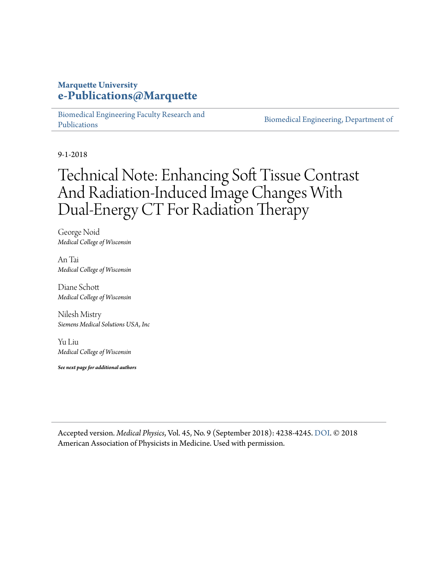#### **Marquette University [e-Publications@Marquette](https://epublications.marquette.edu/)**

[Biomedical Engineering Faculty Research and](https://epublications.marquette.edu/bioengin_fac) [Publications](https://epublications.marquette.edu/bioengin_fac)

[Biomedical Engineering, Department of](https://epublications.marquette.edu/bioengin)

9-1-2018

## Technical Note: Enhancing Soft Tissue Contrast And Radiation‐Induced Image Changes With Dual‐Energy CT For Radiation Therapy

George Noid *Medical College of Wisconsin*

An Tai *Medical College of Wisconsin*

Diane Schott *Medical College of Wisconsin*

Nilesh Mistry *Siemens Medical Solutions USA, Inc*

Yu Liu *Medical College of Wisconsin*

*See next page for additional authors*

Accepted version. *Medical Physics*, Vol. 45, No. 9 (September 2018): 4238-4245. [DOI](https://doi.org/10.1002/mp.13083). © 2018 American Association of Physicists in Medicine. Used with permission.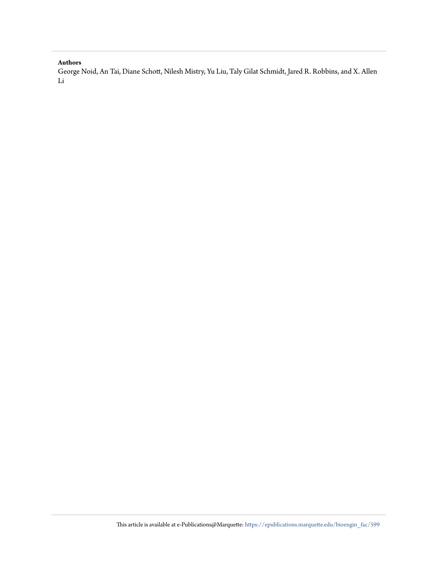#### **Authors**

George Noid, An Tai, Diane Schott, Nilesh Mistry, Yu Liu, Taly Gilat Schmidt, Jared R. Robbins, and X. Allen Li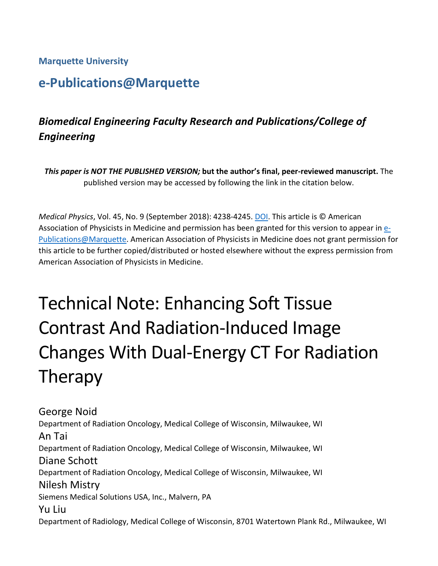**Marquette University**

## **e-Publications@Marquette**

## *Biomedical Engineering Faculty Research and Publications/College of Engineering*

*This paper is NOT THE PUBLISHED VERSION;* **but the author's final, peer-reviewed manuscript.** The published version may be accessed by following the link in the citation below.

*Medical Physics*, Vol. 45, No. 9 (September 2018): 4238-4245. [DOI.](https://doi.org/10.1002/mp.13083) This article is © American Association of Physicists in Medicine and permission has been granted for this version to appear in [e-](http://epublications.marquette.edu/)[Publications@Marquette.](http://epublications.marquette.edu/) American Association of Physicists in Medicine does not grant permission for this article to be further copied/distributed or hosted elsewhere without the express permission from American Association of Physicists in Medicine.

# Technical Note: Enhancing Soft Tissue Contrast And Radiation-Induced Image Changes With Dual-Energy CT For Radiation Therapy

George Noid Department of Radiation Oncology, Medical College of Wisconsin, Milwaukee, WI An Tai Department of Radiation Oncology, Medical College of Wisconsin, Milwaukee, WI Diane Schott Department of Radiation Oncology, Medical College of Wisconsin, Milwaukee, WI Nilesh Mistry Siemens Medical Solutions USA, Inc., Malvern, PA Yu Liu Department of Radiology, Medical College of Wisconsin, 8701 Watertown Plank Rd., Milwaukee, WI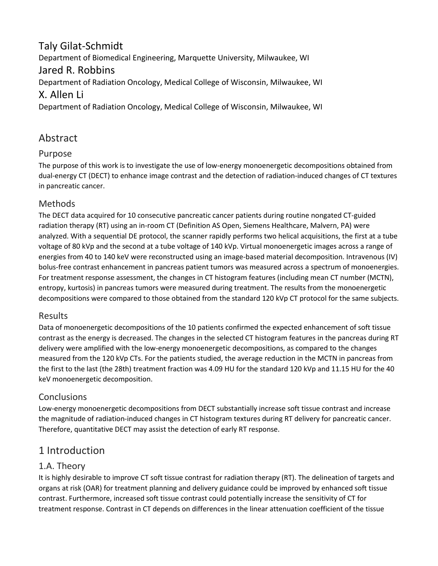#### Taly Gilat-Schmidt Department of Biomedical Engineering, Marquette University, Milwaukee, WI Jared R. Robbins Department of Radiation Oncology, Medical College of Wisconsin, Milwaukee, WI X. Allen Li

Department of Radiation Oncology, Medical College of Wisconsin, Milwaukee, WI

#### Abstract

#### Purpose

The purpose of this work is to investigate the use of low-energy monoenergetic decompositions obtained from dual-energy CT (DECT) to enhance image contrast and the detection of radiation-induced changes of CT textures in pancreatic cancer.

#### Methods

The DECT data acquired for 10 consecutive pancreatic cancer patients during routine nongated CT-guided radiation therapy (RT) using an in-room CT (Definition AS Open, Siemens Healthcare, Malvern, PA) were analyzed. With a sequential DE protocol, the scanner rapidly performs two helical acquisitions, the first at a tube voltage of 80 kVp and the second at a tube voltage of 140 kVp. Virtual monoenergetic images across a range of energies from 40 to 140 keV were reconstructed using an image-based material decomposition. Intravenous (IV) bolus-free contrast enhancement in pancreas patient tumors was measured across a spectrum of monoenergies. For treatment response assessment, the changes in CT histogram features (including mean CT number (MCTN), entropy, kurtosis) in pancreas tumors were measured during treatment. The results from the monoenergetic decompositions were compared to those obtained from the standard 120 kVp CT protocol for the same subjects.

#### Results

Data of monoenergetic decompositions of the 10 patients confirmed the expected enhancement of soft tissue contrast as the energy is decreased. The changes in the selected CT histogram features in the pancreas during RT delivery were amplified with the low-energy monoenergetic decompositions, as compared to the changes measured from the 120 kVp CTs. For the patients studied, the average reduction in the MCTN in pancreas from the first to the last (the 28th) treatment fraction was 4.09 HU for the standard 120 kVp and 11.15 HU for the 40 keV monoenergetic decomposition.

#### **Conclusions**

Low-energy monoenergetic decompositions from DECT substantially increase soft tissue contrast and increase the magnitude of radiation-induced changes in CT histogram textures during RT delivery for pancreatic cancer. Therefore, quantitative DECT may assist the detection of early RT response.

#### 1 Introduction

#### 1.A. Theory

It is highly desirable to improve CT soft tissue contrast for radiation therapy (RT). The delineation of targets and organs at risk (OAR) for treatment planning and delivery guidance could be improved by enhanced soft tissue contrast. Furthermore, increased soft tissue contrast could potentially increase the sensitivity of CT for treatment response. Contrast in CT depends on differences in the linear attenuation coefficient of the tissue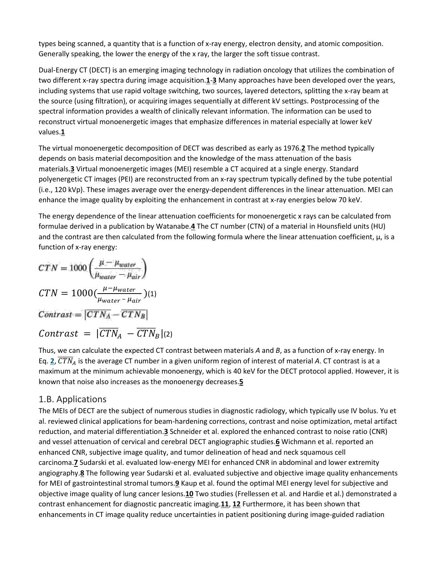types being scanned, a quantity that is a function of x-ray energy, electron density, and atomic composition. Generally speaking, the lower the energy of the x ray, the larger the soft tissue contrast.

Dual-Energy CT (DECT) is an emerging imaging technology in radiation oncology that utilizes the combination of two different x-ray spectra during image acquisition.**[1](https://aapm.onlinelibrary.wiley.com/doi/full/10.1002/mp.13083#mp13083-bib-0001)**-**[3](https://aapm.onlinelibrary.wiley.com/doi/full/10.1002/mp.13083#mp13083-bib-0003)** Many approaches have been developed over the years, including systems that use rapid voltage switching, two sources, layered detectors, splitting the x-ray beam at the source (using filtration), or acquiring images sequentially at different kV settings. Postprocessing of the spectral information provides a wealth of clinically relevant information. The information can be used to reconstruct virtual monoenergetic images that emphasize differences in material especially at lower keV values.**[1](https://aapm.onlinelibrary.wiley.com/doi/full/10.1002/mp.13083#mp13083-bib-0001)**

The virtual monoenergetic decomposition of DECT was described as early as 1976.**[2](https://aapm.onlinelibrary.wiley.com/doi/full/10.1002/mp.13083#mp13083-bib-0002)** The method typically depends on basis material decomposition and the knowledge of the mass attenuation of the basis materials.**[3](https://aapm.onlinelibrary.wiley.com/doi/full/10.1002/mp.13083#mp13083-bib-0003)** Virtual monoenergetic images (MEI) resemble a CT acquired at a single energy. Standard polyenergetic CT images (PEI) are reconstructed from an x-ray spectrum typically defined by the tube potential (i.e., 120 kVp). These images average over the energy-dependent differences in the linear attenuation. MEI can enhance the image quality by exploiting the enhancement in contrast at x-ray energies below 70 keV.

The energy dependence of the linear attenuation coefficients for monoenergetic x rays can be calculated from formulae derived in a publication by Watanabe.**[4](https://aapm.onlinelibrary.wiley.com/doi/full/10.1002/mp.13083#mp13083-bib-0004)** The CT number (CTN) of a material in Hounsfield units (HU) and the contrast are then calculated from the following formula where the linear attenuation coefficient, μ, is a function of x-ray energy:

$$
CTN = 1000 \left( \frac{\mu - \mu_{water}}{\mu_{water} - \mu_{air}} \right)
$$
  
\n
$$
CTN = 1000 \left( \frac{\mu - \mu_{water}}{\mu_{water} - \mu_{air}} \right)
$$
  
\n
$$
Contrast = |CTN_A - \overline{CTN_B}|
$$
  
\n
$$
Contrast = |CTN_A - \overline{CTN_B}|
$$
 (2)

Thus, we can calculate the expected CT contrast between materials *A* and *B*, as a function of x-ray energy. In Eq.  $2$ ,  $\overline{CTN}_A$  is the average CT number in a given uniform region of interest of material A. CT contrast is at a maximum at the minimum achievable monoenergy, which is 40 keV for the DECT protocol applied. However, it is known that noise also increases as the monoenergy decreases.**[5](https://aapm.onlinelibrary.wiley.com/doi/full/10.1002/mp.13083#mp13083-bib-0005)**

#### 1.B. Applications

The MEIs of DECT are the subject of numerous studies in diagnostic radiology, which typically use IV bolus. Yu et al. reviewed clinical applications for beam-hardening corrections, contrast and noise optimization, metal artifact reduction, and material differentiation.**[3](https://aapm.onlinelibrary.wiley.com/doi/full/10.1002/mp.13083#mp13083-bib-0003)** Schneider et al. explored the enhanced contrast to noise ratio (CNR) and vessel attenuation of cervical and cerebral DECT angiographic studies.**[6](https://aapm.onlinelibrary.wiley.com/doi/full/10.1002/mp.13083#mp13083-bib-0006)** Wichmann et al. reported an enhanced CNR, subjective image quality, and tumor delineation of head and neck squamous cell carcinoma.**[7](https://aapm.onlinelibrary.wiley.com/doi/full/10.1002/mp.13083#mp13083-bib-0007)** Sudarski et al. evaluated low-energy MEI for enhanced CNR in abdominal and lower extremity angiography.**[8](https://aapm.onlinelibrary.wiley.com/doi/full/10.1002/mp.13083#mp13083-bib-0008)** The following year Sudarski et al. evaluated subjective and objective image quality enhancements for MEI of gastrointestinal stromal tumors.**[9](https://aapm.onlinelibrary.wiley.com/doi/full/10.1002/mp.13083#mp13083-bib-0009)** Kaup et al. found the optimal MEI energy level for subjective and objective image quality of lung cancer lesions.**[10](https://aapm.onlinelibrary.wiley.com/doi/full/10.1002/mp.13083#mp13083-bib-0010)** Two studies (Frellessen et al. and Hardie et al.) demonstrated a contrast enhancement for diagnostic pancreatic imaging.**[11](https://aapm.onlinelibrary.wiley.com/doi/full/10.1002/mp.13083#mp13083-bib-0011)**, **[12](https://aapm.onlinelibrary.wiley.com/doi/full/10.1002/mp.13083#mp13083-bib-0012)** Furthermore, it has been shown that enhancements in CT image quality reduce uncertainties in patient positioning during image-guided radiation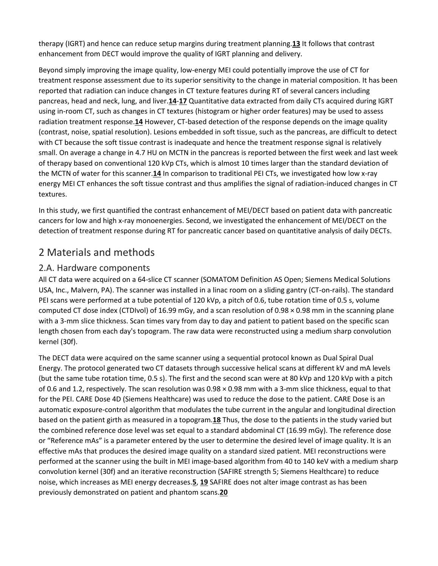therapy (IGRT) and hence can reduce setup margins during treatment planning.**[13](https://aapm.onlinelibrary.wiley.com/doi/full/10.1002/mp.13083#mp13083-bib-0013)** It follows that contrast enhancement from DECT would improve the quality of IGRT planning and delivery.

Beyond simply improving the image quality, low-energy MEI could potentially improve the use of CT for treatment response assessment due to its superior sensitivity to the change in material composition. It has been reported that radiation can induce changes in CT texture features during RT of several cancers including pancreas, head and neck, lung, and liver.**[14](https://aapm.onlinelibrary.wiley.com/doi/full/10.1002/mp.13083#mp13083-bib-0014)**-**[17](https://aapm.onlinelibrary.wiley.com/doi/full/10.1002/mp.13083#mp13083-bib-0017)** Quantitative data extracted from daily CTs acquired during IGRT using in-room CT, such as changes in CT textures (histogram or higher order features) may be used to assess radiation treatment response.**[14](https://aapm.onlinelibrary.wiley.com/doi/full/10.1002/mp.13083#mp13083-bib-0014)** However, CT-based detection of the response depends on the image quality (contrast, noise, spatial resolution). Lesions embedded in soft tissue, such as the pancreas, are difficult to detect with CT because the soft tissue contrast is inadequate and hence the treatment response signal is relatively small. On average a change in 4.7 HU on MCTN in the pancreas is reported between the first week and last week of therapy based on conventional 120 kVp CTs, which is almost 10 times larger than the standard deviation of the MCTN of water for this scanner.**[14](https://aapm.onlinelibrary.wiley.com/doi/full/10.1002/mp.13083#mp13083-bib-0014)** In comparison to traditional PEI CTs, we investigated how low x-ray energy MEI CT enhances the soft tissue contrast and thus amplifies the signal of radiation-induced changes in CT textures.

In this study, we first quantified the contrast enhancement of MEI/DECT based on patient data with pancreatic cancers for low and high x-ray monoenergies. Second, we investigated the enhancement of MEI/DECT on the detection of treatment response during RT for pancreatic cancer based on quantitative analysis of daily DECTs.

#### 2 Materials and methods

#### 2.A. Hardware components

All CT data were acquired on a 64-slice CT scanner (SOMATOM Definition AS Open; Siemens Medical Solutions USA, Inc., Malvern, PA). The scanner was installed in a linac room on a sliding gantry (CT-on-rails). The standard PEI scans were performed at a tube potential of 120 kVp, a pitch of 0.6, tube rotation time of 0.5 s, volume computed CT dose index (CTDIvol) of 16.99 mGy, and a scan resolution of 0.98 × 0.98 mm in the scanning plane with a 3-mm slice thickness. Scan times vary from day to day and patient to patient based on the specific scan length chosen from each day's topogram. The raw data were reconstructed using a medium sharp convolution kernel (30f).

The DECT data were acquired on the same scanner using a sequential protocol known as Dual Spiral Dual Energy. The protocol generated two CT datasets through successive helical scans at different kV and mA levels (but the same tube rotation time, 0.5 s). The first and the second scan were at 80 kVp and 120 kVp with a pitch of 0.6 and 1.2, respectively. The scan resolution was 0.98 × 0.98 mm with a 3-mm slice thickness, equal to that for the PEI. CARE Dose 4D (Siemens Healthcare) was used to reduce the dose to the patient. CARE Dose is an automatic exposure-control algorithm that modulates the tube current in the angular and longitudinal direction based on the patient girth as measured in a topogram.**[18](https://aapm.onlinelibrary.wiley.com/doi/full/10.1002/mp.13083#mp13083-bib-0018)** Thus, the dose to the patients in the study varied but the combined reference dose level was set equal to a standard abdominal CT (16.99 mGy). The reference dose or "Reference mAs" is a parameter entered by the user to determine the desired level of image quality. It is an effective mAs that produces the desired image quality on a standard sized patient. MEI reconstructions were performed at the scanner using the built in MEI image-based algorithm from 40 to 140 keV with a medium sharp convolution kernel (30f) and an iterative reconstruction (SAFIRE strength 5; Siemens Healthcare) to reduce noise, which increases as MEI energy decreases.**[5](https://aapm.onlinelibrary.wiley.com/doi/full/10.1002/mp.13083#mp13083-bib-0005)**, **[19](https://aapm.onlinelibrary.wiley.com/doi/full/10.1002/mp.13083#mp13083-bib-0019)** SAFIRE does not alter image contrast as has been previously demonstrated on patient and phantom scans.**[20](https://aapm.onlinelibrary.wiley.com/doi/full/10.1002/mp.13083#mp13083-bib-0020)**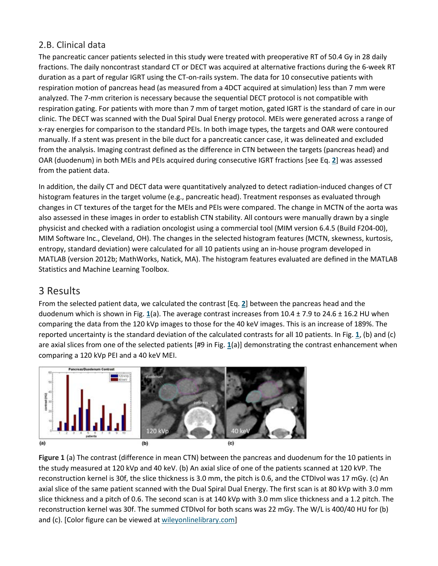#### 2.B. Clinical data

The pancreatic cancer patients selected in this study were treated with preoperative RT of 50.4 Gy in 28 daily fractions. The daily noncontrast standard CT or DECT was acquired at alternative fractions during the 6-week RT duration as a part of regular IGRT using the CT-on-rails system. The data for 10 consecutive patients with respiration motion of pancreas head (as measured from a 4DCT acquired at simulation) less than 7 mm were analyzed. The 7-mm criterion is necessary because the sequential DECT protocol is not compatible with respiration gating. For patients with more than 7 mm of target motion, gated IGRT is the standard of care in our clinic. The DECT was scanned with the Dual Spiral Dual Energy protocol. MEIs were generated across a range of x-ray energies for comparison to the standard PEIs. In both image types, the targets and OAR were contoured manually. If a stent was present in the bile duct for a pancreatic cancer case, it was delineated and excluded from the analysis. Imaging contrast defined as the difference in CTN between the targets (pancreas head) and OAR (duodenum) in both MEIs and PEIs acquired during consecutive IGRT fractions [see Eq. **[2](https://aapm.onlinelibrary.wiley.com/doi/full/10.1002/mp.13083#mp13083-disp-0002)**] was assessed from the patient data.

In addition, the daily CT and DECT data were quantitatively analyzed to detect radiation-induced changes of CT histogram features in the target volume (e.g., pancreatic head). Treatment responses as evaluated through changes in CT textures of the target for the MEIs and PEIs were compared. The change in MCTN of the aorta was also assessed in these images in order to establish CTN stability. All contours were manually drawn by a single physicist and checked with a radiation oncologist using a commercial tool (MIM version 6.4.5 (Build F204-00), MIM Software Inc., Cleveland, OH). The changes in the selected histogram features (MCTN, skewness, kurtosis, entropy, standard deviation) were calculated for all 10 patients using an in-house program developed in MATLAB (version 2012b; MathWorks, Natick, MA). The histogram features evaluated are defined in the MATLAB Statistics and Machine Learning Toolbox.

#### 3 Results

From the selected patient data, we calculated the contrast [Eq. **[2](https://aapm.onlinelibrary.wiley.com/doi/full/10.1002/mp.13083#mp13083-disp-0002)**] between the pancreas head and the duodenum which is shown in Fig. **[1](https://aapm.onlinelibrary.wiley.com/doi/full/10.1002/mp.13083#mp13083-fig-0001)**(a). The average contrast increases from 10.4 ± 7.9 to 24.6 ± 16.2 HU when comparing the data from the 120 kVp images to those for the 40 keV images. This is an increase of 189%. The reported uncertainty is the standard deviation of the calculated contrasts for all 10 patients. In Fig. **[1](https://aapm.onlinelibrary.wiley.com/doi/full/10.1002/mp.13083#mp13083-fig-0001)**, (b) and (c) are axial slices from one of the selected patients [#9 in Fig. **[1](https://aapm.onlinelibrary.wiley.com/doi/full/10.1002/mp.13083#mp13083-fig-0001)**(a)] demonstrating the contrast enhancement when comparing a 120 kVp PEI and a 40 keV MEI.



**Figure 1** (a) The contrast (difference in mean CTN) between the pancreas and duodenum for the 10 patients in the study measured at 120 kVp and 40 keV. (b) An axial slice of one of the patients scanned at 120 kVP. The reconstruction kernel is 30f, the slice thickness is 3.0 mm, the pitch is 0.6, and the CTDIvol was 17 mGy. (c) An axial slice of the same patient scanned with the Dual Spiral Dual Energy. The first scan is at 80 kVp with 3.0 mm slice thickness and a pitch of 0.6. The second scan is at 140 kVp with 3.0 mm slice thickness and a 1.2 pitch. The reconstruction kernel was 30f. The summed CTDIvol for both scans was 22 mGy. The W/L is 400/40 HU for (b) and (c). [Color figure can be viewed at [wileyonlinelibrary.com\]](http://www.wileyonlinelibrary.com/)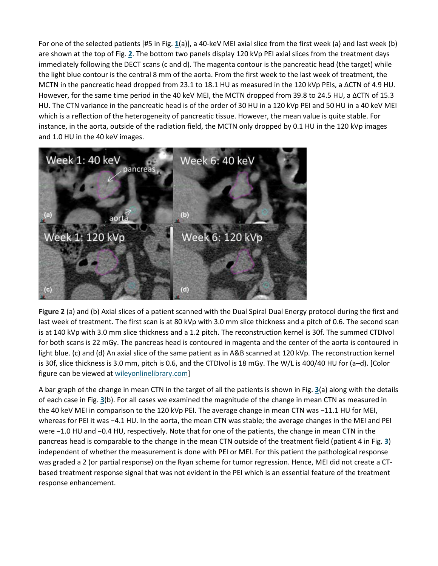For one of the selected patients [#5 in Fig. **[1](https://aapm.onlinelibrary.wiley.com/doi/full/10.1002/mp.13083#mp13083-fig-0001)**(a)], a 40-keV MEI axial slice from the first week (a) and last week (b) are shown at the top of Fig. **[2](https://aapm.onlinelibrary.wiley.com/doi/full/10.1002/mp.13083#mp13083-fig-0002)**. The bottom two panels display 120 kVp PEI axial slices from the treatment days immediately following the DECT scans (c and d). The magenta contour is the pancreatic head (the target) while the light blue contour is the central 8 mm of the aorta. From the first week to the last week of treatment, the MCTN in the pancreatic head dropped from 23.1 to 18.1 HU as measured in the 120 kVp PEIs, a ∆CTN of 4.9 HU. However, for the same time period in the 40 keV MEI, the MCTN dropped from 39.8 to 24.5 HU, a ∆CTN of 15.3 HU. The CTN variance in the pancreatic head is of the order of 30 HU in a 120 kVp PEI and 50 HU in a 40 keV MEI which is a reflection of the heterogeneity of pancreatic tissue. However, the mean value is quite stable. For instance, in the aorta, outside of the radiation field, the MCTN only dropped by 0.1 HU in the 120 kVp images and 1.0 HU in the 40 keV images.



**Figure 2** (a) and (b) Axial slices of a patient scanned with the Dual Spiral Dual Energy protocol during the first and last week of treatment. The first scan is at 80 kVp with 3.0 mm slice thickness and a pitch of 0.6. The second scan is at 140 kVp with 3.0 mm slice thickness and a 1.2 pitch. The reconstruction kernel is 30f. The summed CTDIvol for both scans is 22 mGy. The pancreas head is contoured in magenta and the center of the aorta is contoured in light blue. (c) and (d) An axial slice of the same patient as in A&B scanned at 120 kVp. The reconstruction kernel is 30f, slice thickness is 3.0 mm, pitch is 0.6, and the CTDIvol is 18 mGy. The W/L is 400/40 HU for (a–d). [Color figure can be viewed at [wileyonlinelibrary.com\]](http://www.wileyonlinelibrary.com/)

A bar graph of the change in mean CTN in the target of all the patients is shown in Fig. **[3](https://aapm.onlinelibrary.wiley.com/doi/full/10.1002/mp.13083#mp13083-fig-0003)**(a) along with the details of each case in Fig. **[3](https://aapm.onlinelibrary.wiley.com/doi/full/10.1002/mp.13083#mp13083-fig-0003)**(b). For all cases we examined the magnitude of the change in mean CTN as measured in the 40 keV MEI in comparison to the 120 kVp PEI. The average change in mean CTN was −11.1 HU for MEI, whereas for PEI it was −4.1 HU. In the aorta, the mean CTN was stable; the average changes in the MEI and PEI were −1.0 HU and −0.4 HU, respectively. Note that for one of the patients, the change in mean CTN in the pancreas head is comparable to the change in the mean CTN outside of the treatment field (patient 4 in Fig. **[3](https://aapm.onlinelibrary.wiley.com/doi/full/10.1002/mp.13083#mp13083-fig-0003)**) independent of whether the measurement is done with PEI or MEI. For this patient the pathological response was graded a 2 (or partial response) on the Ryan scheme for tumor regression. Hence, MEI did not create a CTbased treatment response signal that was not evident in the PEI which is an essential feature of the treatment response enhancement.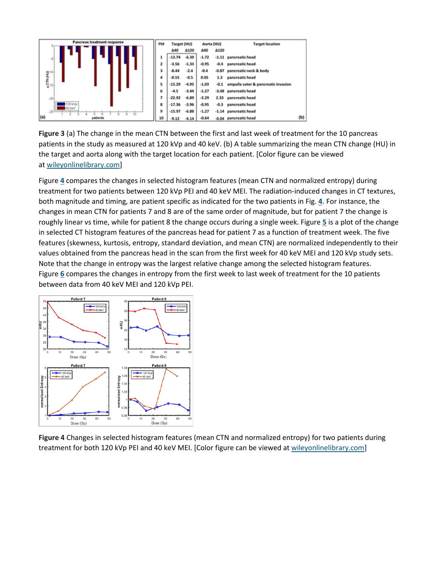

**Figure 3** (a) The change in the mean CTN between the first and last week of treatment for the 10 pancreas patients in the study as measured at 120 kVp and 40 keV. (b) A table summarizing the mean CTN change (HU) in the target and aorta along with the target location for each patient. [Color figure can be viewed at [wileyonlinelibrary.com\]](http://www.wileyonlinelibrary.com/)

Figure **[4](https://aapm.onlinelibrary.wiley.com/doi/full/10.1002/mp.13083#mp13083-fig-0004)** compares the changes in selected histogram features (mean CTN and normalized entropy) during treatment for two patients between 120 kVp PEI and 40 keV MEI. The radiation-induced changes in CT textures, both magnitude and timing, are patient specific as indicated for the two patients in Fig. **[4](https://aapm.onlinelibrary.wiley.com/doi/full/10.1002/mp.13083#mp13083-fig-0004)**. For instance, the changes in mean CTN for patients 7 and 8 are of the same order of magnitude, but for patient 7 the change is roughly linear vs time, while for patient 8 the change occurs during a single week. Figure **[5](https://aapm.onlinelibrary.wiley.com/doi/full/10.1002/mp.13083#mp13083-fig-0005)** is a plot of the change in selected CT histogram features of the pancreas head for patient 7 as a function of treatment week. The five features (skewness, kurtosis, entropy, standard deviation, and mean CTN) are normalized independently to their values obtained from the pancreas head in the scan from the first week for 40 keV MEI and 120 kVp study sets. Note that the change in entropy was the largest relative change among the selected histogram features. Figure **[6](https://aapm.onlinelibrary.wiley.com/doi/full/10.1002/mp.13083#mp13083-fig-0006)** compares the changes in entropy from the first week to last week of treatment for the 10 patients between data from 40 keV MEI and 120 kVp PEI.



**Figure 4** Changes in selected histogram features (mean CTN and normalized entropy) for two patients during treatment for both 120 kVp PEI and 40 keV MEI. [Color figure can be viewed at [wileyonlinelibrary.com\]](http://www.wileyonlinelibrary.com/)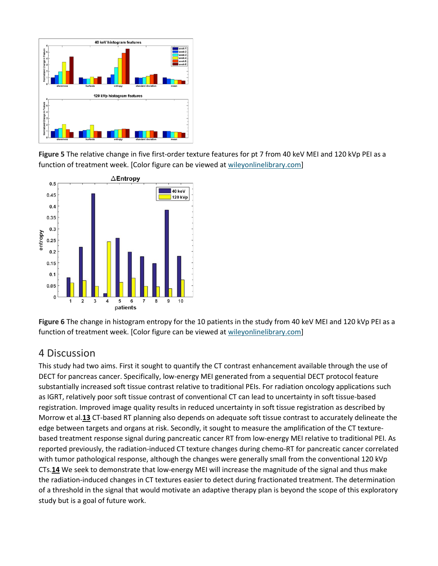

**Figure 5** The relative change in five first-order texture features for pt 7 from 40 keV MEI and 120 kVp PEI as a function of treatment week. [Color figure can be viewed at [wileyonlinelibrary.com\]](http://www.wileyonlinelibrary.com/)



**Figure 6** The change in histogram entropy for the 10 patients in the study from 40 keV MEI and 120 kVp PEI as a function of treatment week. [Color figure can be viewed at [wileyonlinelibrary.com\]](http://www.wileyonlinelibrary.com/)

#### 4 Discussion

This study had two aims. First it sought to quantify the CT contrast enhancement available through the use of DECT for pancreas cancer. Specifically, low-energy MEI generated from a sequential DECT protocol feature substantially increased soft tissue contrast relative to traditional PEIs. For radiation oncology applications such as IGRT, relatively poor soft tissue contrast of conventional CT can lead to uncertainty in soft tissue-based registration. Improved image quality results in reduced uncertainty in soft tissue registration as described by Morrow et al.**[13](https://aapm.onlinelibrary.wiley.com/doi/full/10.1002/mp.13083#mp13083-bib-0013)** CT-based RT planning also depends on adequate soft tissue contrast to accurately delineate the edge between targets and organs at risk. Secondly, it sought to measure the amplification of the CT texturebased treatment response signal during pancreatic cancer RT from low-energy MEI relative to traditional PEI. As reported previously, the radiation-induced CT texture changes during chemo-RT for pancreatic cancer correlated with tumor pathological response, although the changes were generally small from the conventional 120 kVp CTs.**[14](https://aapm.onlinelibrary.wiley.com/doi/full/10.1002/mp.13083#mp13083-bib-0014)** We seek to demonstrate that low-energy MEI will increase the magnitude of the signal and thus make the radiation-induced changes in CT textures easier to detect during fractionated treatment. The determination of a threshold in the signal that would motivate an adaptive therapy plan is beyond the scope of this exploratory study but is a goal of future work.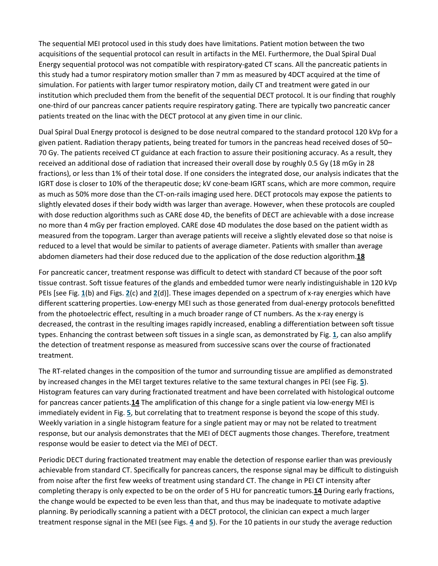The sequential MEI protocol used in this study does have limitations. Patient motion between the two acquisitions of the sequential protocol can result in artifacts in the MEI. Furthermore, the Dual Spiral Dual Energy sequential protocol was not compatible with respiratory-gated CT scans. All the pancreatic patients in this study had a tumor respiratory motion smaller than 7 mm as measured by 4DCT acquired at the time of simulation. For patients with larger tumor respiratory motion, daily CT and treatment were gated in our institution which precluded them from the benefit of the sequential DECT protocol. It is our finding that roughly one-third of our pancreas cancer patients require respiratory gating. There are typically two pancreatic cancer patients treated on the linac with the DECT protocol at any given time in our clinic.

Dual Spiral Dual Energy protocol is designed to be dose neutral compared to the standard protocol 120 kVp for a given patient. Radiation therapy patients, being treated for tumors in the pancreas head received doses of 50– 70 Gy. The patients received CT guidance at each fraction to assure their positioning accuracy. As a result, they received an additional dose of radiation that increased their overall dose by roughly 0.5 Gy (18 mGy in 28 fractions), or less than 1% of their total dose. If one considers the integrated dose, our analysis indicates that the IGRT dose is closer to 10% of the therapeutic dose; kV cone-beam IGRT scans, which are more common, require as much as 50% more dose than the CT-on-rails imaging used here. DECT protocols may expose the patients to slightly elevated doses if their body width was larger than average. However, when these protocols are coupled with dose reduction algorithms such as CARE dose 4D, the benefits of DECT are achievable with a dose increase no more than 4 mGy per fraction employed. CARE dose 4D modulates the dose based on the patient width as measured from the topogram. Larger than average patients will receive a slightly elevated dose so that noise is reduced to a level that would be similar to patients of average diameter. Patients with smaller than average abdomen diameters had their dose reduced due to the application of the dose reduction algorithm.**[18](https://aapm.onlinelibrary.wiley.com/doi/full/10.1002/mp.13083#mp13083-bib-0018)**

For pancreatic cancer, treatment response was difficult to detect with standard CT because of the poor soft tissue contrast. Soft tissue features of the glands and embedded tumor were nearly indistinguishable in 120 kVp PEIs [see Fig. **[1](https://aapm.onlinelibrary.wiley.com/doi/full/10.1002/mp.13083#mp13083-fig-0001)**(b) and Figs. **[2](https://aapm.onlinelibrary.wiley.com/doi/full/10.1002/mp.13083#mp13083-fig-0002)**(c) and **[2](https://aapm.onlinelibrary.wiley.com/doi/full/10.1002/mp.13083#mp13083-fig-0002)**(d)]. These images depended on a spectrum of x-ray energies which have different scattering properties. Low-energy MEI such as those generated from dual-energy protocols benefitted from the photoelectric effect, resulting in a much broader range of CT numbers. As the x-ray energy is decreased, the contrast in the resulting images rapidly increased, enabling a differentiation between soft tissue types. Enhancing the contrast between soft tissues in a single scan, as demonstrated by Fig. **[1](https://aapm.onlinelibrary.wiley.com/doi/full/10.1002/mp.13083#mp13083-fig-0001)**, can also amplify the detection of treatment response as measured from successive scans over the course of fractionated treatment.

The RT-related changes in the composition of the tumor and surrounding tissue are amplified as demonstrated by increased changes in the MEI target textures relative to the same textural changes in PEI (see Fig. **[5](https://aapm.onlinelibrary.wiley.com/doi/full/10.1002/mp.13083#mp13083-fig-0005)**). Histogram features can vary during fractionated treatment and have been correlated with histological outcome for pancreas cancer patients.**[14](https://aapm.onlinelibrary.wiley.com/doi/full/10.1002/mp.13083#mp13083-bib-0014)** The amplification of this change for a single patient via low-energy MEI is immediately evident in Fig. **[5](https://aapm.onlinelibrary.wiley.com/doi/full/10.1002/mp.13083#mp13083-fig-0005)**, but correlating that to treatment response is beyond the scope of this study. Weekly variation in a single histogram feature for a single patient may or may not be related to treatment response, but our analysis demonstrates that the MEI of DECT augments those changes. Therefore, treatment response would be easier to detect via the MEI of DECT.

Periodic DECT during fractionated treatment may enable the detection of response earlier than was previously achievable from standard CT. Specifically for pancreas cancers, the response signal may be difficult to distinguish from noise after the first few weeks of treatment using standard CT. The change in PEI CT intensity after completing therapy is only expected to be on the order of 5 HU for pancreatic tumors.**[14](https://aapm.onlinelibrary.wiley.com/doi/full/10.1002/mp.13083#mp13083-bib-0014)** During early fractions, the change would be expected to be even less than that, and thus may be inadequate to motivate adaptive planning. By periodically scanning a patient with a DECT protocol, the clinician can expect a much larger treatment response signal in the MEI (see Figs. **[4](https://aapm.onlinelibrary.wiley.com/doi/full/10.1002/mp.13083#mp13083-fig-0004)** and **[5](https://aapm.onlinelibrary.wiley.com/doi/full/10.1002/mp.13083#mp13083-fig-0005)**). For the 10 patients in our study the average reduction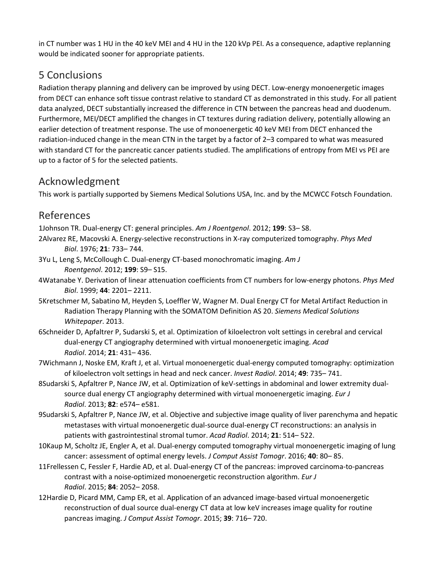in CT number was 1 HU in the 40 keV MEI and 4 HU in the 120 kVp PEI. As a consequence, adaptive replanning would be indicated sooner for appropriate patients.

### 5 Conclusions

Radiation therapy planning and delivery can be improved by using DECT. Low-energy monoenergetic images from DECT can enhance soft tissue contrast relative to standard CT as demonstrated in this study. For all patient data analyzed, DECT substantially increased the difference in CTN between the pancreas head and duodenum. Furthermore, MEI/DECT amplified the changes in CT textures during radiation delivery, potentially allowing an earlier detection of treatment response. The use of monoenergetic 40 keV MEI from DECT enhanced the radiation-induced change in the mean CTN in the target by a factor of 2–3 compared to what was measured with standard CT for the pancreatic cancer patients studied. The amplifications of entropy from MEI vs PEI are up to a factor of 5 for the selected patients.

#### Acknowledgment

This work is partially supported by Siemens Medical Solutions USA, Inc. and by the MCWCC Fotsch Foundation.

### References

1Johnson TR. Dual-energy CT: general principles. *Am J Roentgenol*. 2012; **199**: S3– S8.

- 2Alvarez RE, Macovski A. Energy-selective reconstructions in X-ray computerized tomography. *Phys Med Biol*. 1976; **21**: 733– 744.
- 3Yu L, Leng S, McCollough C. Dual-energy CT-based monochromatic imaging. *Am J Roentgenol*. 2012; **199**: S9– S15.
- 4Watanabe Y. Derivation of linear attenuation coefficients from CT numbers for low-energy photons. *Phys Med Biol*. 1999; **44**: 2201– 2211.
- 5Kretschmer M, Sabatino M, Heyden S, Loeffler W, Wagner M. Dual Energy CT for Metal Artifact Reduction in Radiation Therapy Planning with the SOMATOM Definition AS 20. *Siemens Medical Solutions Whitepaper*. 2013.
- 6Schneider D, Apfaltrer P, Sudarski S, et al. Optimization of kiloelectron volt settings in cerebral and cervical dual-energy CT angiography determined with virtual monoenergetic imaging. *Acad Radiol*. 2014; **21**: 431– 436.
- 7Wichmann J, Noske EM, Kraft J, et al. Virtual monoenergetic dual-energy computed tomography: optimization of kiloelectron volt settings in head and neck cancer. *Invest Radiol*. 2014; **49**: 735– 741.
- 8Sudarski S, Apfaltrer P, Nance JW, et al. Optimization of keV-settings in abdominal and lower extremity dualsource dual energy CT angiography determined with virtual monoenergetic imaging. *Eur J Radiol*. 2013; **82**: e574– e581.
- 9Sudarski S, Apfaltrer P, Nance JW, et al. Objective and subjective image quality of liver parenchyma and hepatic metastases with virtual monoenergetic dual-source dual-energy CT reconstructions: an analysis in patients with gastrointestinal stromal tumor. *Acad Radiol*. 2014; **21**: 514– 522.
- 10Kaup M, Scholtz JE, Engler A, et al. Dual-energy computed tomography virtual monoenergetic imaging of lung cancer: assessment of optimal energy levels. *J Comput Assist Tomogr*. 2016; **40**: 80– 85.
- 11Frellessen C, Fessler F, Hardie AD, et al. Dual-energy CT of the pancreas: improved carcinoma-to-pancreas contrast with a noise-optimized monoenergetic reconstruction algorithm. *Eur J Radiol*. 2015; **84**: 2052– 2058.
- 12Hardie D, Picard MM, Camp ER, et al. Application of an advanced image-based virtual monoenergetic reconstruction of dual source dual-energy CT data at low keV increases image quality for routine pancreas imaging. *J Comput Assist Tomogr*. 2015; **39**: 716– 720.